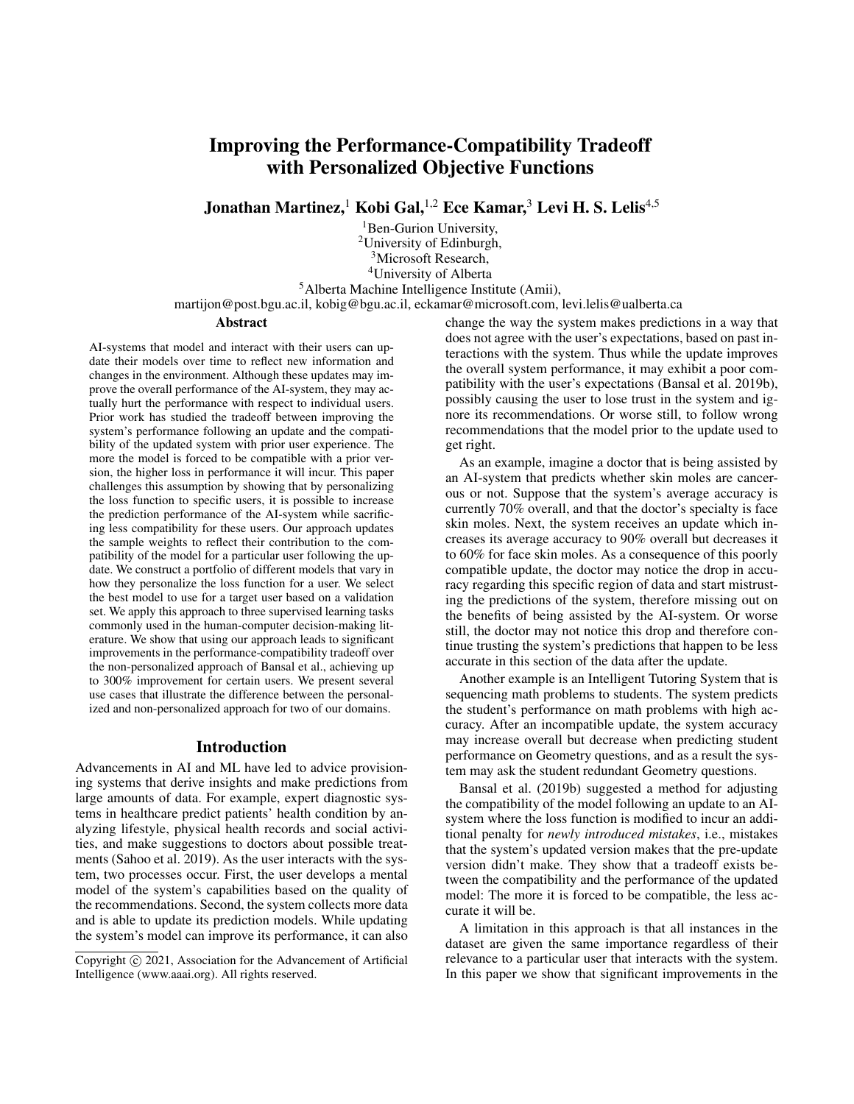# Improving the Performance-Compatibility Tradeoff with Personalized Objective Functions

Jonathan Martinez,<sup>1</sup> Kobi Gal,<sup>1,2</sup> Ece Kamar,<sup>3</sup> Levi H. S. Lelis<sup>4,5</sup>

<sup>1</sup>Ben-Gurion University, <sup>2</sup>University of Edinburgh, <sup>3</sup>Microsoft Research, <sup>4</sup>University of Alberta <sup>5</sup>Alberta Machine Intelligence Institute (Amii),

martijon@post.bgu.ac.il, kobig@bgu.ac.il, eckamar@microsoft.com, levi.lelis@ualberta.ca

## Abstract

AI-systems that model and interact with their users can update their models over time to reflect new information and changes in the environment. Although these updates may improve the overall performance of the AI-system, they may actually hurt the performance with respect to individual users. Prior work has studied the tradeoff between improving the system's performance following an update and the compatibility of the updated system with prior user experience. The more the model is forced to be compatible with a prior version, the higher loss in performance it will incur. This paper challenges this assumption by showing that by personalizing the loss function to specific users, it is possible to increase the prediction performance of the AI-system while sacrificing less compatibility for these users. Our approach updates the sample weights to reflect their contribution to the compatibility of the model for a particular user following the update. We construct a portfolio of different models that vary in how they personalize the loss function for a user. We select the best model to use for a target user based on a validation set. We apply this approach to three supervised learning tasks commonly used in the human-computer decision-making literature. We show that using our approach leads to significant improvements in the performance-compatibility tradeoff over the non-personalized approach of Bansal et al., achieving up to 300% improvement for certain users. We present several use cases that illustrate the difference between the personalized and non-personalized approach for two of our domains.

## Introduction

Advancements in AI and ML have led to advice provisioning systems that derive insights and make predictions from large amounts of data. For example, expert diagnostic systems in healthcare predict patients' health condition by analyzing lifestyle, physical health records and social activities, and make suggestions to doctors about possible treatments (Sahoo et al. 2019). As the user interacts with the system, two processes occur. First, the user develops a mental model of the system's capabilities based on the quality of the recommendations. Second, the system collects more data and is able to update its prediction models. While updating the system's model can improve its performance, it can also change the way the system makes predictions in a way that does not agree with the user's expectations, based on past interactions with the system. Thus while the update improves the overall system performance, it may exhibit a poor compatibility with the user's expectations (Bansal et al. 2019b), possibly causing the user to lose trust in the system and ignore its recommendations. Or worse still, to follow wrong recommendations that the model prior to the update used to get right.

As an example, imagine a doctor that is being assisted by an AI-system that predicts whether skin moles are cancerous or not. Suppose that the system's average accuracy is currently 70% overall, and that the doctor's specialty is face skin moles. Next, the system receives an update which increases its average accuracy to 90% overall but decreases it to 60% for face skin moles. As a consequence of this poorly compatible update, the doctor may notice the drop in accuracy regarding this specific region of data and start mistrusting the predictions of the system, therefore missing out on the benefits of being assisted by the AI-system. Or worse still, the doctor may not notice this drop and therefore continue trusting the system's predictions that happen to be less accurate in this section of the data after the update.

Another example is an Intelligent Tutoring System that is sequencing math problems to students. The system predicts the student's performance on math problems with high accuracy. After an incompatible update, the system accuracy may increase overall but decrease when predicting student performance on Geometry questions, and as a result the system may ask the student redundant Geometry questions.

Bansal et al. (2019b) suggested a method for adjusting the compatibility of the model following an update to an AIsystem where the loss function is modified to incur an additional penalty for *newly introduced mistakes*, i.e., mistakes that the system's updated version makes that the pre-update version didn't make. They show that a tradeoff exists between the compatibility and the performance of the updated model: The more it is forced to be compatible, the less accurate it will be.

A limitation in this approach is that all instances in the dataset are given the same importance regardless of their relevance to a particular user that interacts with the system. In this paper we show that significant improvements in the

Copyright (c) 2021, Association for the Advancement of Artificial Intelligence (www.aaai.org). All rights reserved.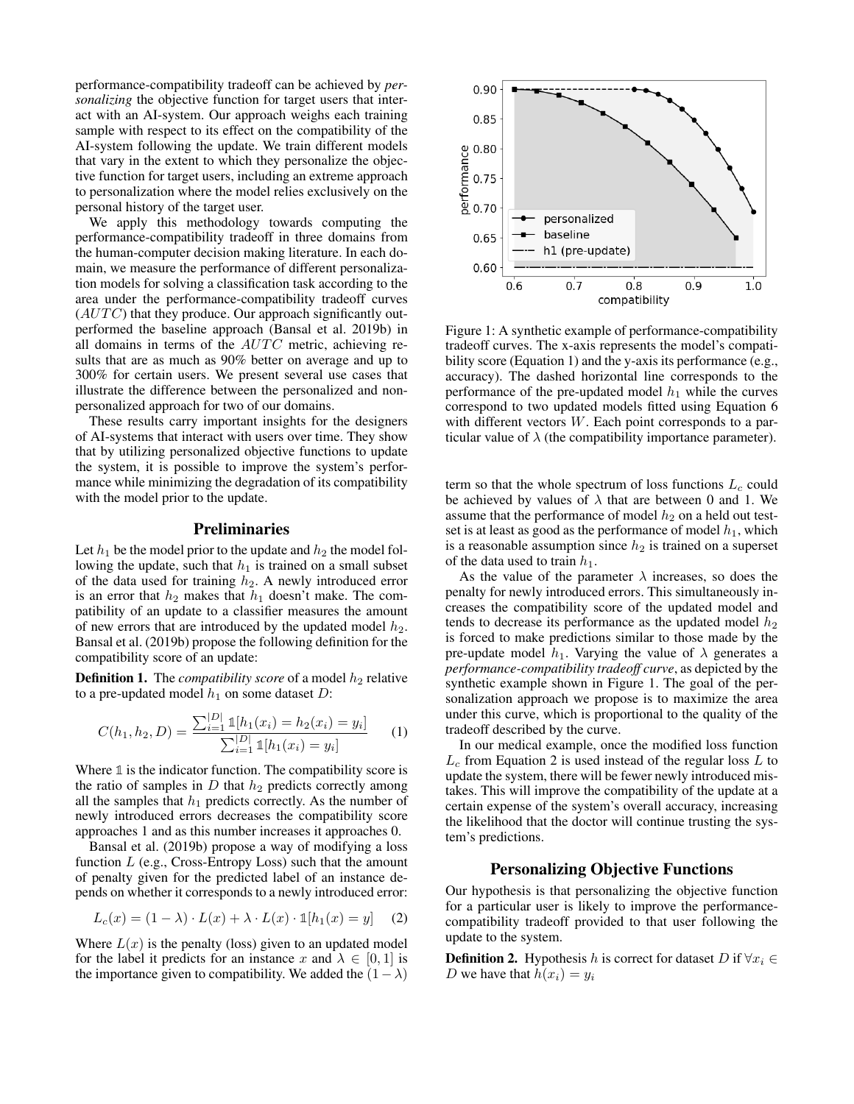performance-compatibility tradeoff can be achieved by *personalizing* the objective function for target users that interact with an AI-system. Our approach weighs each training sample with respect to its effect on the compatibility of the AI-system following the update. We train different models that vary in the extent to which they personalize the objective function for target users, including an extreme approach to personalization where the model relies exclusively on the personal history of the target user.

We apply this methodology towards computing the performance-compatibility tradeoff in three domains from the human-computer decision making literature. In each domain, we measure the performance of different personalization models for solving a classification task according to the area under the performance-compatibility tradeoff curves  $(AUTC)$  that they produce. Our approach significantly outperformed the baseline approach (Bansal et al. 2019b) in all domains in terms of the  $AUTC$  metric, achieving results that are as much as 90% better on average and up to 300% for certain users. We present several use cases that illustrate the difference between the personalized and nonpersonalized approach for two of our domains.

These results carry important insights for the designers of AI-systems that interact with users over time. They show that by utilizing personalized objective functions to update the system, it is possible to improve the system's performance while minimizing the degradation of its compatibility with the model prior to the update.

#### Preliminaries

Let  $h_1$  be the model prior to the update and  $h_2$  the model following the update, such that  $h_1$  is trained on a small subset of the data used for training  $h_2$ . A newly introduced error is an error that  $h_2$  makes that  $h_1$  doesn't make. The compatibility of an update to a classifier measures the amount of new errors that are introduced by the updated model  $h_2$ . Bansal et al. (2019b) propose the following definition for the compatibility score of an update:

**Definition 1.** The *compatibility score* of a model  $h_2$  relative to a pre-updated model  $h_1$  on some dataset D:

$$
C(h_1, h_2, D) = \frac{\sum_{i=1}^{|D|} \mathbb{1}[h_1(x_i) = h_2(x_i) = y_i]}{\sum_{i=1}^{|D|} \mathbb{1}[h_1(x_i) = y_i]}
$$
(1)

Where **1** is the indicator function. The compatibility score is the ratio of samples in  $D$  that  $h_2$  predicts correctly among all the samples that  $h_1$  predicts correctly. As the number of newly introduced errors decreases the compatibility score approaches 1 and as this number increases it approaches 0.

Bansal et al. (2019b) propose a way of modifying a loss function  $L$  (e.g., Cross-Entropy Loss) such that the amount of penalty given for the predicted label of an instance depends on whether it corresponds to a newly introduced error:

$$
L_c(x) = (1 - \lambda) \cdot L(x) + \lambda \cdot L(x) \cdot \mathbb{1}[h_1(x) = y] \tag{2}
$$

Where  $L(x)$  is the penalty (loss) given to an updated model for the label it predicts for an instance x and  $\lambda \in [0, 1]$  is the importance given to compatibility. We added the  $(1 - \lambda)$ 



Figure 1: A synthetic example of performance-compatibility tradeoff curves. The x-axis represents the model's compatibility score (Equation 1) and the y-axis its performance (e.g., accuracy). The dashed horizontal line corresponds to the performance of the pre-updated model  $h_1$  while the curves correspond to two updated models fitted using Equation 6 with different vectors  $W$ . Each point corresponds to a particular value of  $\lambda$  (the compatibility importance parameter).

term so that the whole spectrum of loss functions  $L_c$  could be achieved by values of  $\lambda$  that are between 0 and 1. We assume that the performance of model  $h_2$  on a held out testset is at least as good as the performance of model  $h_1$ , which is a reasonable assumption since  $h_2$  is trained on a superset of the data used to train  $h_1$ .

As the value of the parameter  $\lambda$  increases, so does the penalty for newly introduced errors. This simultaneously increases the compatibility score of the updated model and tends to decrease its performance as the updated model  $h_2$ is forced to make predictions similar to those made by the pre-update model  $h_1$ . Varying the value of  $\lambda$  generates a *performance-compatibility tradeoff curve*, as depicted by the synthetic example shown in Figure 1. The goal of the personalization approach we propose is to maximize the area under this curve, which is proportional to the quality of the tradeoff described by the curve.

In our medical example, once the modified loss function  $L_c$  from Equation 2 is used instead of the regular loss L to update the system, there will be fewer newly introduced mistakes. This will improve the compatibility of the update at a certain expense of the system's overall accuracy, increasing the likelihood that the doctor will continue trusting the system's predictions.

# Personalizing Objective Functions

Our hypothesis is that personalizing the objective function for a particular user is likely to improve the performancecompatibility tradeoff provided to that user following the update to the system.

**Definition 2.** Hypothesis h is correct for dataset D if  $\forall x_i \in$ D we have that  $h(x_i) = y_i$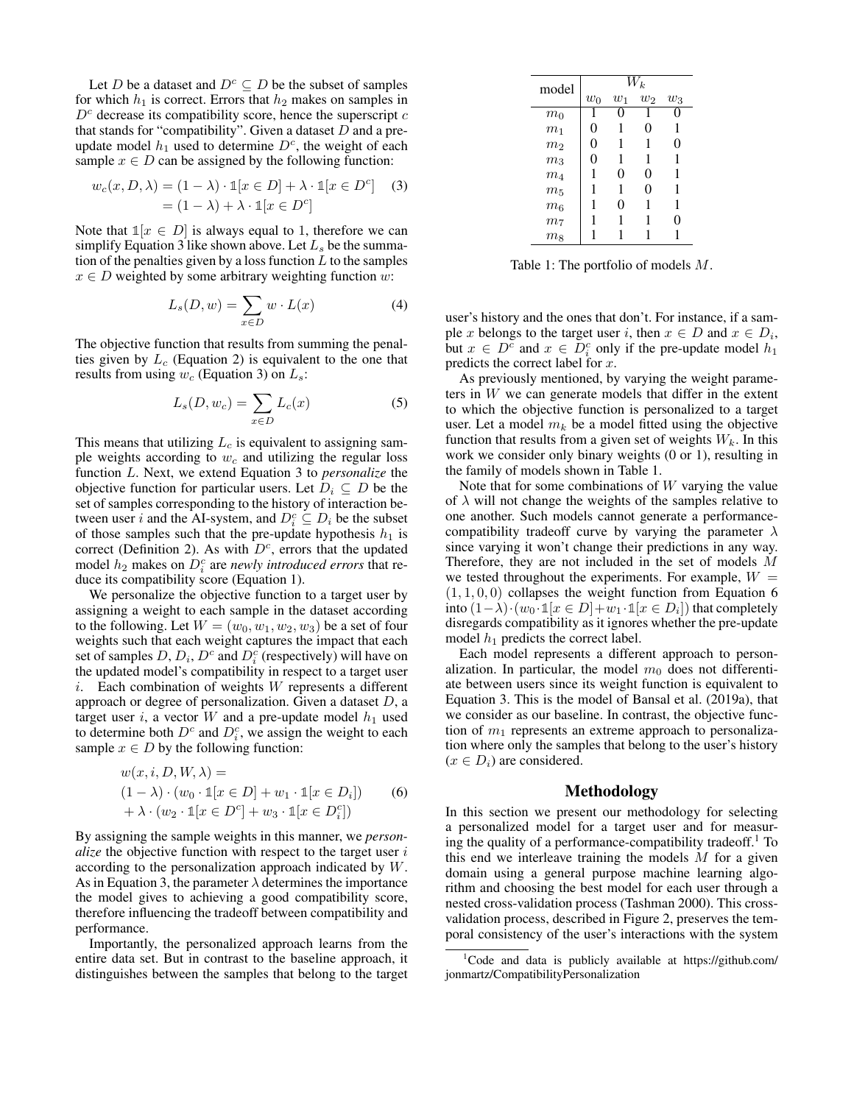Let D be a dataset and  $D^c \subseteq D$  be the subset of samples for which  $h_1$  is correct. Errors that  $h_2$  makes on samples in  $D<sup>c</sup>$  decrease its compatibility score, hence the superscript  $c$ that stands for "compatibility". Given a dataset  $D$  and a preupdate model  $h_1$  used to determine  $D<sup>c</sup>$ , the weight of each sample  $x \in D$  can be assigned by the following function:

$$
w_c(x, D, \lambda) = (1 - \lambda) \cdot \mathbb{1}[x \in D] + \lambda \cdot \mathbb{1}[x \in D^c]
$$
 (3)  
=  $(1 - \lambda) + \lambda \cdot \mathbb{1}[x \in D^c]$ 

Note that  $\mathbb{1}[x \in D]$  is always equal to 1, therefore we can simplify Equation 3 like shown above. Let  $L<sub>s</sub>$  be the summation of the penalties given by a loss function  $L$  to the samples  $x \in D$  weighted by some arbitrary weighting function w:

$$
L_s(D, w) = \sum_{x \in D} w \cdot L(x) \tag{4}
$$

The objective function that results from summing the penalties given by  $L_c$  (Equation 2) is equivalent to the one that results from using  $w_c$  (Equation 3) on  $L_s$ :

$$
L_s(D, w_c) = \sum_{x \in D} L_c(x) \tag{5}
$$

This means that utilizing  $L_c$  is equivalent to assigning sample weights according to  $w_c$  and utilizing the regular loss function L. Next, we extend Equation 3 to *personalize* the objective function for particular users. Let  $D_i \subseteq D$  be the set of samples corresponding to the history of interaction between user i and the AI-system, and  $D_i^c \subseteq D_i$  be the subset of those samples such that the pre-update hypothesis  $h_1$  is correct (Definition 2). As with  $D<sup>c</sup>$ , errors that the updated model  $h_2$  makes on  $D_i^c$  are *newly introduced errors* that reduce its compatibility score (Equation 1).

We personalize the objective function to a target user by assigning a weight to each sample in the dataset according to the following. Let  $W = (w_0, w_1, w_2, w_3)$  be a set of four weights such that each weight captures the impact that each set of samples  $D, D_i, D^c$  and  $D_i^c$  (respectively) will have on the updated model's compatibility in respect to a target user  $i$ . Each combination of weights  $W$  represents a different approach or degree of personalization. Given a dataset  $D$ , a target user i, a vector  $W$  and a pre-update model  $h_1$  used to determine both  $D^c$  and  $D_i^c$ , we assign the weight to each sample  $x \in D$  by the following function:

$$
w(x, i, D, W, \lambda) =
$$
  
\n
$$
(1 - \lambda) \cdot (w_0 \cdot \mathbb{1}[x \in D] + w_1 \cdot \mathbb{1}[x \in D_i])
$$
  
\n
$$
+ \lambda \cdot (w_2 \cdot \mathbb{1}[x \in D^c] + w_3 \cdot \mathbb{1}[x \in D_i^c])
$$
\n(6)

By assigning the sample weights in this manner, we *personalize* the objective function with respect to the target user i according to the personalization approach indicated by W. As in Equation 3, the parameter  $\lambda$  determines the importance the model gives to achieving a good compatibility score, therefore influencing the tradeoff between compatibility and performance.

Importantly, the personalized approach learns from the entire data set. But in contrast to the baseline approach, it distinguishes between the samples that belong to the target

| model          | $W_k$              |       |          |       |
|----------------|--------------------|-------|----------|-------|
|                | $\boldsymbol{w}_0$ | $w_1$ | $w_2$    | $w_3$ |
| m <sub>0</sub> | 1                  | 0     | 1        | 0     |
| m <sub>1</sub> | 0                  | 1     | 0        | 1     |
| m <sub>2</sub> | 0                  | 1     | 1        | 0     |
| m <sub>3</sub> | 0                  | 1     | 1        | 1     |
| m <sub>4</sub> |                    | 0     | $\theta$ | 1     |
| $m_5$          | 1                  | 1     | 0        | 1     |
| m <sub>6</sub> | 1                  | 0     | 1        | 1     |
| m <sub>7</sub> |                    | 1     | 1        | 0     |
| m <sub>8</sub> |                    |       |          |       |

Table 1: The portfolio of models M.

user's history and the ones that don't. For instance, if a sample x belongs to the target user i, then  $x \in D$  and  $x \in D_i$ , but  $x \in D^c$  and  $x \in D_i^c$  only if the pre-update model  $h_1$ predicts the correct label for x.

As previously mentioned, by varying the weight parameters in W we can generate models that differ in the extent to which the objective function is personalized to a target user. Let a model  $m_k$  be a model fitted using the objective function that results from a given set of weights  $W_k$ . In this work we consider only binary weights (0 or 1), resulting in the family of models shown in Table 1.

Note that for some combinations of  $W$  varying the value of  $\lambda$  will not change the weights of the samples relative to one another. Such models cannot generate a performancecompatibility tradeoff curve by varying the parameter  $\lambda$ since varying it won't change their predictions in any way. Therefore, they are not included in the set of models M we tested throughout the experiments. For example,  $W =$  $(1, 1, 0, 0)$  collapses the weight function from Equation 6 into  $(1 - \lambda) \cdot (w_0 \cdot \mathbb{1}[x \in D] + w_1 \cdot \mathbb{1}[x \in D_i])$  that completely disregards compatibility as it ignores whether the pre-update model  $h_1$  predicts the correct label.

Each model represents a different approach to personalization. In particular, the model  $m_0$  does not differentiate between users since its weight function is equivalent to Equation 3. This is the model of Bansal et al. (2019a), that we consider as our baseline. In contrast, the objective function of  $m_1$  represents an extreme approach to personalization where only the samples that belong to the user's history  $(x \in D_i)$  are considered.

## Methodology

In this section we present our methodology for selecting a personalized model for a target user and for measuring the quality of a performance-compatibility tradeoff.<sup>1</sup> To this end we interleave training the models  $M$  for a given domain using a general purpose machine learning algorithm and choosing the best model for each user through a nested cross-validation process (Tashman 2000). This crossvalidation process, described in Figure 2, preserves the temporal consistency of the user's interactions with the system

<sup>1</sup>Code and data is publicly available at https://github.com/ jonmartz/CompatibilityPersonalization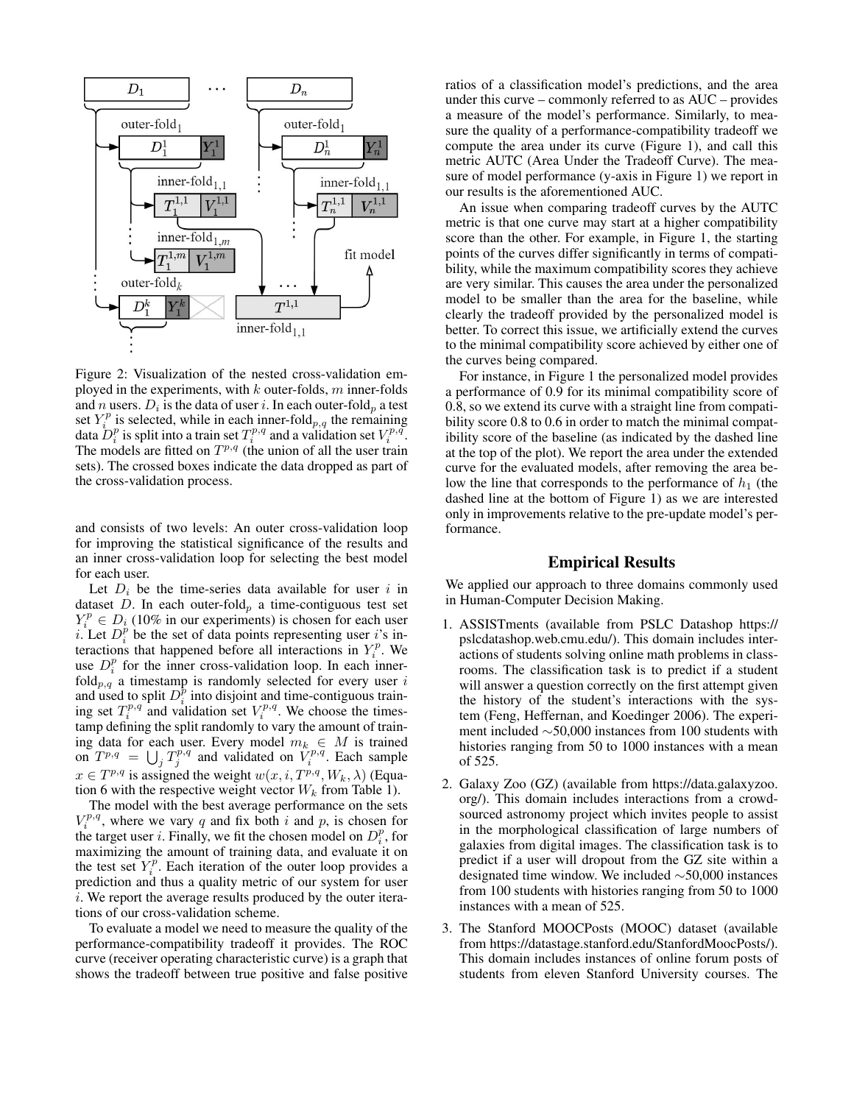

Figure 2: Visualization of the nested cross-validation employed in the experiments, with  $k$  outer-folds,  $m$  inner-folds and  $n$  users.  $D_i$  is the data of user  $i.$  In each outer-fold $_p$  a test set  $Y_i^p$  is selected, while in each inner-fold  $_{p,q}$  the remaining data  $D_i^p$  is split into a train set  $T_i^{p,q}$  and a validation set  $V_i^{p,q}$ . The models are fitted on  $T^{p,q}$  (the union of all the user train sets). The crossed boxes indicate the data dropped as part of the cross-validation process.

and consists of two levels: An outer cross-validation loop for improving the statistical significance of the results and an inner cross-validation loop for selecting the best model for each user.

Let  $D_i$  be the time-series data available for user i in dataset D. In each outer-fold<sub>p</sub> a time-contiguous test set  $Y_i^p \in D_i$  (10% in our experiments) is chosen for each user i. Let  $D_i^p$  be the set of data points representing user i's interactions that happened before all interactions in  $Y_i^p$ . We use  $D_i^p$  for the inner cross-validation loop. In each inner $fold_{p,q}$  a timestamp is randomly selected for every user i and used to split  $D_i^{\overline{p}}$  into disjoint and time-contiguous training set  $T_i^{p,q}$  and validation set  $V_i^{p,q}$ . We choose the timestamp defining the split randomly to vary the amount of training data for each user. Every model  $m_k \in M$  is trained on  $T^{p,q} = \bigcup_j T_j^{p,q}$  and validated on  $V_i^{p,q}$ . Each sample  $x \in T^{p,q}$  is assigned the weight  $w(x, i, T^{p,q}, W_k, \lambda)$  (Equation 6 with the respective weight vector  $W_k$  from Table 1).

The model with the best average performance on the sets  $V_i^{p,q}$ , where we vary q and fix both i and p, is chosen for the target user *i*. Finally, we fit the chosen model on  $D_i^p$ , for maximizing the amount of training data, and evaluate it on the test set  $Y_i^p$ . Each iteration of the outer loop provides a prediction and thus a quality metric of our system for user i. We report the average results produced by the outer iterations of our cross-validation scheme.

To evaluate a model we need to measure the quality of the performance-compatibility tradeoff it provides. The ROC curve (receiver operating characteristic curve) is a graph that shows the tradeoff between true positive and false positive

ratios of a classification model's predictions, and the area under this curve – commonly referred to as AUC – provides a measure of the model's performance. Similarly, to measure the quality of a performance-compatibility tradeoff we compute the area under its curve (Figure 1), and call this metric AUTC (Area Under the Tradeoff Curve). The measure of model performance (y-axis in Figure 1) we report in our results is the aforementioned AUC.

An issue when comparing tradeoff curves by the AUTC metric is that one curve may start at a higher compatibility score than the other. For example, in Figure 1, the starting points of the curves differ significantly in terms of compatibility, while the maximum compatibility scores they achieve are very similar. This causes the area under the personalized model to be smaller than the area for the baseline, while clearly the tradeoff provided by the personalized model is better. To correct this issue, we artificially extend the curves to the minimal compatibility score achieved by either one of the curves being compared.

For instance, in Figure 1 the personalized model provides a performance of 0.9 for its minimal compatibility score of 0.8, so we extend its curve with a straight line from compatibility score 0.8 to 0.6 in order to match the minimal compatibility score of the baseline (as indicated by the dashed line at the top of the plot). We report the area under the extended curve for the evaluated models, after removing the area below the line that corresponds to the performance of  $h_1$  (the dashed line at the bottom of Figure 1) as we are interested only in improvements relative to the pre-update model's performance.

# Empirical Results

We applied our approach to three domains commonly used in Human-Computer Decision Making.

- 1. ASSISTments (available from PSLC Datashop https:// pslcdatashop.web.cmu.edu/). This domain includes interactions of students solving online math problems in classrooms. The classification task is to predict if a student will answer a question correctly on the first attempt given the history of the student's interactions with the system (Feng, Heffernan, and Koedinger 2006). The experiment included ∼50,000 instances from 100 students with histories ranging from 50 to 1000 instances with a mean of 525.
- 2. Galaxy Zoo (GZ) (available from https://data.galaxyzoo. org/). This domain includes interactions from a crowdsourced astronomy project which invites people to assist in the morphological classification of large numbers of galaxies from digital images. The classification task is to predict if a user will dropout from the GZ site within a designated time window. We included ∼50,000 instances from 100 students with histories ranging from 50 to 1000 instances with a mean of 525.
- 3. The Stanford MOOCPosts (MOOC) dataset (available from https://datastage.stanford.edu/StanfordMoocPosts/). This domain includes instances of online forum posts of students from eleven Stanford University courses. The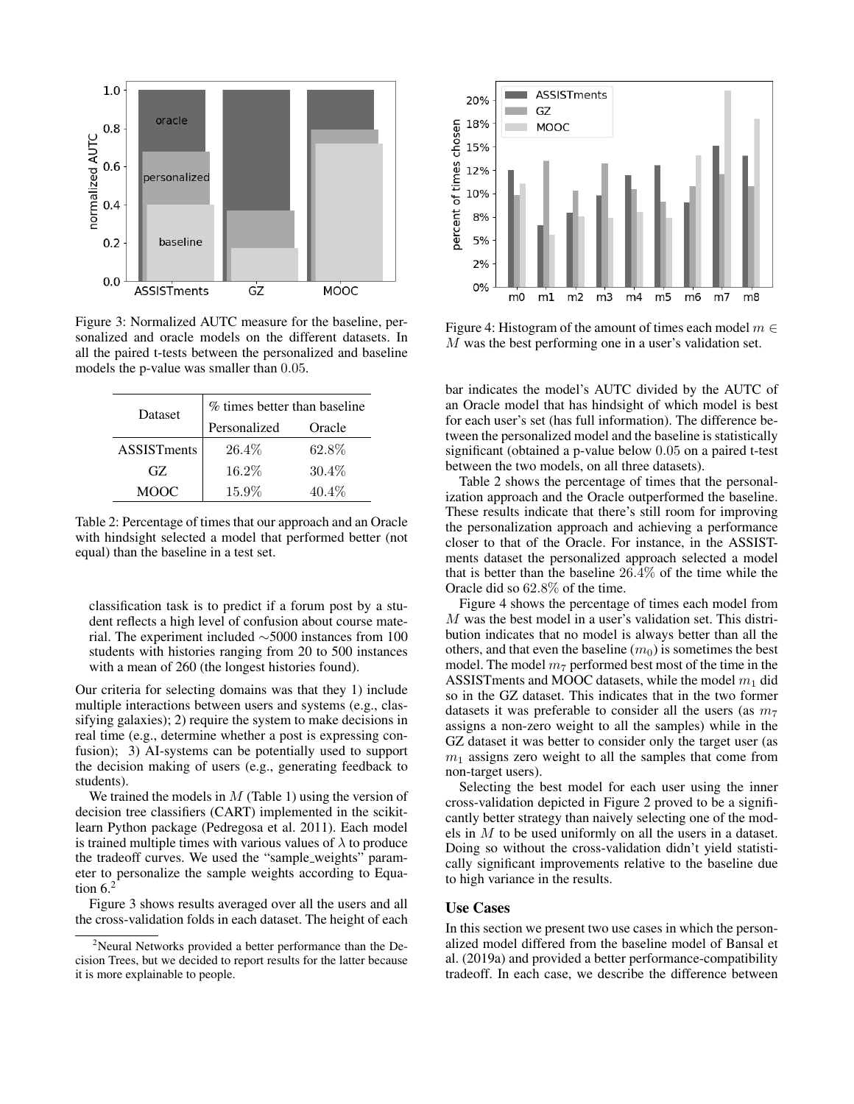

Figure 3: Normalized AUTC measure for the baseline, personalized and oracle models on the different datasets. In all the paired t-tests between the personalized and baseline models the p-value was smaller than 0.05.

| Dataset            | $\%$ times better than baseline |          |  |  |
|--------------------|---------------------------------|----------|--|--|
|                    | Personalized                    | Oracle   |  |  |
| <b>ASSISTments</b> | $26.4\%$                        | 62.8%    |  |  |
| GZ.                | $16.2\%$                        | $30.4\%$ |  |  |
| MOOC               | $15.9\%$                        | $40.4\%$ |  |  |

Table 2: Percentage of times that our approach and an Oracle with hindsight selected a model that performed better (not equal) than the baseline in a test set.

classification task is to predict if a forum post by a student reflects a high level of confusion about course material. The experiment included ∼5000 instances from 100 students with histories ranging from 20 to 500 instances with a mean of 260 (the longest histories found).

Our criteria for selecting domains was that they 1) include multiple interactions between users and systems (e.g., classifying galaxies); 2) require the system to make decisions in real time (e.g., determine whether a post is expressing confusion); 3) AI-systems can be potentially used to support the decision making of users (e.g., generating feedback to students).

We trained the models in  $M$  (Table 1) using the version of decision tree classifiers (CART) implemented in the scikitlearn Python package (Pedregosa et al. 2011). Each model is trained multiple times with various values of  $\lambda$  to produce the tradeoff curves. We used the "sample weights" parameter to personalize the sample weights according to Equation  $6<sup>2</sup>$ 

Figure 3 shows results averaged over all the users and all the cross-validation folds in each dataset. The height of each



Figure 4: Histogram of the amount of times each model  $m \in$ M was the best performing one in a user's validation set.

bar indicates the model's AUTC divided by the AUTC of an Oracle model that has hindsight of which model is best for each user's set (has full information). The difference between the personalized model and the baseline is statistically significant (obtained a p-value below 0.05 on a paired t-test between the two models, on all three datasets).

Table 2 shows the percentage of times that the personalization approach and the Oracle outperformed the baseline. These results indicate that there's still room for improving the personalization approach and achieving a performance closer to that of the Oracle. For instance, in the ASSISTments dataset the personalized approach selected a model that is better than the baseline 26.4% of the time while the Oracle did so 62.8% of the time.

Figure 4 shows the percentage of times each model from M was the best model in a user's validation set. This distribution indicates that no model is always better than all the others, and that even the baseline  $(m_0)$  is sometimes the best model. The model  $m<sub>7</sub>$  performed best most of the time in the ASSISTments and MOOC datasets, while the model  $m_1$  did so in the GZ dataset. This indicates that in the two former datasets it was preferable to consider all the users (as  $m<sub>7</sub>$ ) assigns a non-zero weight to all the samples) while in the GZ dataset it was better to consider only the target user (as  $m<sub>1</sub>$  assigns zero weight to all the samples that come from non-target users).

Selecting the best model for each user using the inner cross-validation depicted in Figure 2 proved to be a significantly better strategy than naively selecting one of the models in M to be used uniformly on all the users in a dataset. Doing so without the cross-validation didn't yield statistically significant improvements relative to the baseline due to high variance in the results.

## Use Cases

In this section we present two use cases in which the personalized model differed from the baseline model of Bansal et al. (2019a) and provided a better performance-compatibility tradeoff. In each case, we describe the difference between

<sup>&</sup>lt;sup>2</sup>Neural Networks provided a better performance than the Decision Trees, but we decided to report results for the latter because it is more explainable to people.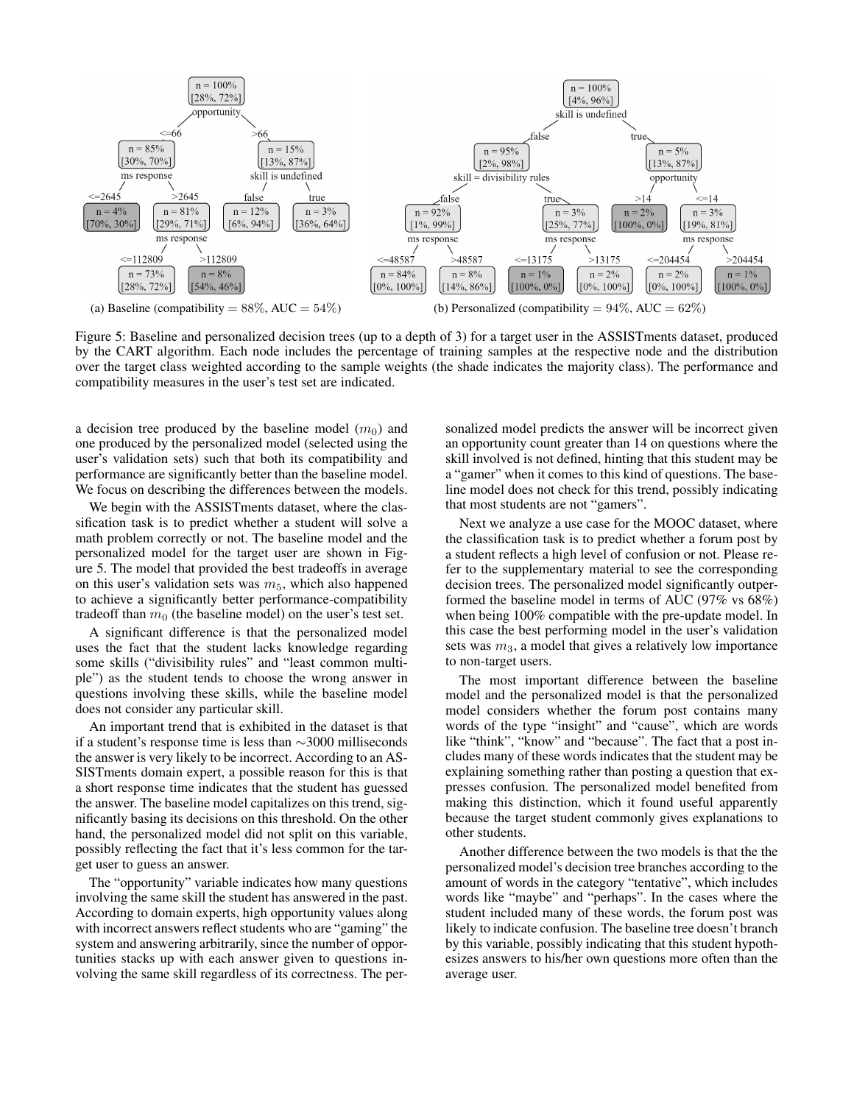

Figure 5: Baseline and personalized decision trees (up to a depth of 3) for a target user in the ASSISTments dataset, produced by the CART algorithm. Each node includes the percentage of training samples at the respective node and the distribution over the target class weighted according to the sample weights (the shade indicates the majority class). The performance and compatibility measures in the user's test set are indicated.

a decision tree produced by the baseline model  $(m_0)$  and one produced by the personalized model (selected using the user's validation sets) such that both its compatibility and performance are significantly better than the baseline model. We focus on describing the differences between the models.

We begin with the ASSISTments dataset, where the classification task is to predict whether a student will solve a math problem correctly or not. The baseline model and the personalized model for the target user are shown in Figure 5. The model that provided the best tradeoffs in average on this user's validation sets was  $m<sub>5</sub>$ , which also happened to achieve a significantly better performance-compatibility tradeoff than  $m_0$  (the baseline model) on the user's test set.

A significant difference is that the personalized model uses the fact that the student lacks knowledge regarding some skills ("divisibility rules" and "least common multiple") as the student tends to choose the wrong answer in questions involving these skills, while the baseline model does not consider any particular skill.

An important trend that is exhibited in the dataset is that if a student's response time is less than ∼3000 milliseconds the answer is very likely to be incorrect. According to an AS-SISTments domain expert, a possible reason for this is that a short response time indicates that the student has guessed the answer. The baseline model capitalizes on this trend, significantly basing its decisions on this threshold. On the other hand, the personalized model did not split on this variable, possibly reflecting the fact that it's less common for the target user to guess an answer.

The "opportunity" variable indicates how many questions involving the same skill the student has answered in the past. According to domain experts, high opportunity values along with incorrect answers reflect students who are "gaming" the system and answering arbitrarily, since the number of opportunities stacks up with each answer given to questions involving the same skill regardless of its correctness. The per-

sonalized model predicts the answer will be incorrect given an opportunity count greater than 14 on questions where the skill involved is not defined, hinting that this student may be a "gamer" when it comes to this kind of questions. The baseline model does not check for this trend, possibly indicating that most students are not "gamers".

Next we analyze a use case for the MOOC dataset, where the classification task is to predict whether a forum post by a student reflects a high level of confusion or not. Please refer to the supplementary material to see the corresponding decision trees. The personalized model significantly outperformed the baseline model in terms of AUC (97% vs 68%) when being 100% compatible with the pre-update model. In this case the best performing model in the user's validation sets was  $m_3$ , a model that gives a relatively low importance to non-target users.

The most important difference between the baseline model and the personalized model is that the personalized model considers whether the forum post contains many words of the type "insight" and "cause", which are words like "think", "know" and "because". The fact that a post includes many of these words indicates that the student may be explaining something rather than posting a question that expresses confusion. The personalized model benefited from making this distinction, which it found useful apparently because the target student commonly gives explanations to other students.

Another difference between the two models is that the the personalized model's decision tree branches according to the amount of words in the category "tentative", which includes words like "maybe" and "perhaps". In the cases where the student included many of these words, the forum post was likely to indicate confusion. The baseline tree doesn't branch by this variable, possibly indicating that this student hypothesizes answers to his/her own questions more often than the average user.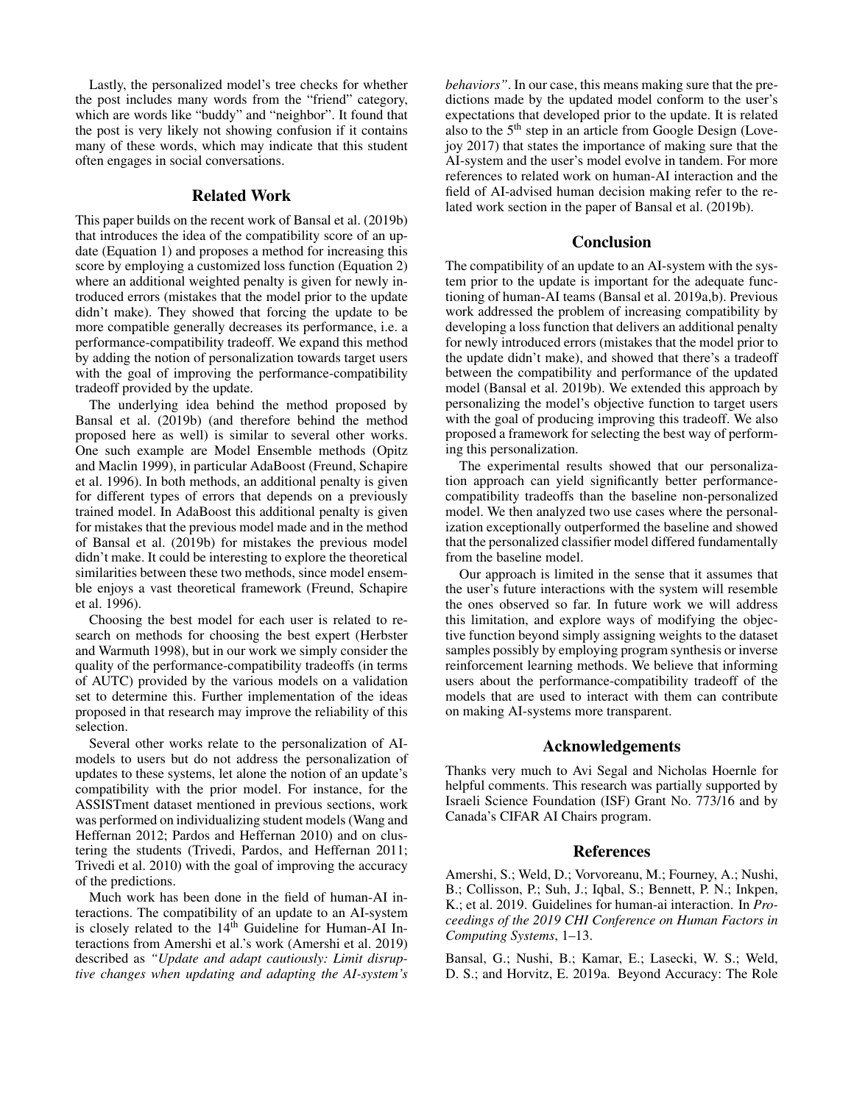Lastly, the personalized model's tree checks for whether the post includes many words from the "friend" category, which are words like "buddy" and "neighbor". It found that the post is very likely not showing confusion if it contains many of these words, which may indicate that this student often engages in social conversations.

## Related Work

This paper builds on the recent work of Bansal et al. (2019b) that introduces the idea of the compatibility score of an update (Equation 1) and proposes a method for increasing this score by employing a customized loss function (Equation 2) where an additional weighted penalty is given for newly introduced errors (mistakes that the model prior to the update didn't make). They showed that forcing the update to be more compatible generally decreases its performance, i.e. a performance-compatibility tradeoff. We expand this method by adding the notion of personalization towards target users with the goal of improving the performance-compatibility tradeoff provided by the update.

The underlying idea behind the method proposed by Bansal et al. (2019b) (and therefore behind the method proposed here as well) is similar to several other works. One such example are Model Ensemble methods (Opitz and Maclin 1999), in particular AdaBoost (Freund, Schapire et al. 1996). In both methods, an additional penalty is given for different types of errors that depends on a previously trained model. In AdaBoost this additional penalty is given for mistakes that the previous model made and in the method of Bansal et al. (2019b) for mistakes the previous model didn't make. It could be interesting to explore the theoretical similarities between these two methods, since model ensemble enjoys a vast theoretical framework (Freund, Schapire et al. 1996).

Choosing the best model for each user is related to research on methods for choosing the best expert (Herbster and Warmuth 1998), but in our work we simply consider the quality of the performance-compatibility tradeoffs (in terms of AUTC) provided by the various models on a validation set to determine this. Further implementation of the ideas proposed in that research may improve the reliability of this selection.

Several other works relate to the personalization of AImodels to users but do not address the personalization of updates to these systems, let alone the notion of an update's compatibility with the prior model. For instance, for the ASSISTment dataset mentioned in previous sections, work was performed on individualizing student models (Wang and Heffernan 2012; Pardos and Heffernan 2010) and on clustering the students (Trivedi, Pardos, and Heffernan 2011; Trivedi et al. 2010) with the goal of improving the accuracy of the predictions.

Much work has been done in the field of human-AI interactions. The compatibility of an update to an AI-system is closely related to the 14<sup>th</sup> Guideline for Human-AI Interactions from Amershi et al.'s work (Amershi et al. 2019) described as *"Update and adapt cautiously: Limit disruptive changes when updating and adapting the AI-system's* *behaviors"*. In our case, this means making sure that the predictions made by the updated model conform to the user's expectations that developed prior to the update. It is related also to the 5th step in an article from Google Design (Lovejoy 2017) that states the importance of making sure that the AI-system and the user's model evolve in tandem. For more references to related work on human-AI interaction and the field of AI-advised human decision making refer to the related work section in the paper of Bansal et al. (2019b).

## Conclusion

The compatibility of an update to an AI-system with the system prior to the update is important for the adequate functioning of human-AI teams (Bansal et al. 2019a,b). Previous work addressed the problem of increasing compatibility by developing a loss function that delivers an additional penalty for newly introduced errors (mistakes that the model prior to the update didn't make), and showed that there's a tradeoff between the compatibility and performance of the updated model (Bansal et al. 2019b). We extended this approach by personalizing the model's objective function to target users with the goal of producing improving this tradeoff. We also proposed a framework for selecting the best way of performing this personalization.

The experimental results showed that our personalization approach can yield significantly better performancecompatibility tradeoffs than the baseline non-personalized model. We then analyzed two use cases where the personalization exceptionally outperformed the baseline and showed that the personalized classifier model differed fundamentally from the baseline model.

Our approach is limited in the sense that it assumes that the user's future interactions with the system will resemble the ones observed so far. In future work we will address this limitation, and explore ways of modifying the objective function beyond simply assigning weights to the dataset samples possibly by employing program synthesis or inverse reinforcement learning methods. We believe that informing users about the performance-compatibility tradeoff of the models that are used to interact with them can contribute on making AI-systems more transparent.

## Acknowledgements

Thanks very much to Avi Segal and Nicholas Hoernle for helpful comments. This research was partially supported by Israeli Science Foundation (ISF) Grant No. 773/16 and by Canada's CIFAR AI Chairs program.

#### References

Amershi, S.; Weld, D.; Vorvoreanu, M.; Fourney, A.; Nushi, B.; Collisson, P.; Suh, J.; Iqbal, S.; Bennett, P. N.; Inkpen, K.; et al. 2019. Guidelines for human-ai interaction. In *Proceedings of the 2019 CHI Conference on Human Factors in Computing Systems*, 1–13.

Bansal, G.; Nushi, B.; Kamar, E.; Lasecki, W. S.; Weld, D. S.; and Horvitz, E. 2019a. Beyond Accuracy: The Role